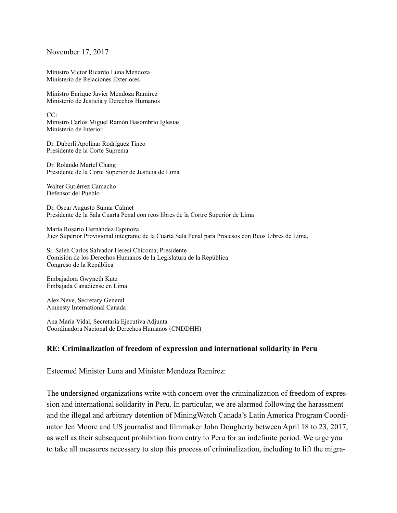November 17, 2017

Ministro Víctor Ricardo Luna Mendoza Ministerio de Relaciones Exteriores

Ministro Enrique Javier Mendoza Ramírez Ministerio de Justicia y Derechos Humanos

CC: Ministro Carlos Miguel Ramón Basombrío Iglesias Ministerio de Interior

Dr. Duberlí Apolinar Rodríguez Tineo Presidente de la Corte Suprema

Dr. Rolando Martel Chang Presidente de la Corte Superior de Justicia de Lima

Walter Gutiérrez Camacho Defensor del Pueblo

Dr. Oscar Augusto Sumar Calmet Presidente de la Sala Cuarta Penal con reos libres de la Cortre Superior de Lima

María Rosario Hernández Espinoza Juez Superior Provisional integrante de la Cuarta Sala Penal para Procesos con Reos Libres de Lima,

Sr. Saleh Carlos Salvador Heresi Chicoma, Presidente Comisión de los Derechos Humanos de la Legislatura de la República Congreso de la República

Embajadora Gwyneth Kutz Embajada Canadiense en Lima

Alex Neve, Secretary General Amnesty International Canada

Ana María Vidal, Secretaría Ejecutiva Adjunta Coordinadora Nacional de Derechos Humanos (CNDDHH)

## **RE: Criminalization of freedom of expression and international solidarity in Peru**

Esteemed Minister Luna and Minister Mendoza Ramírez:

The undersigned organizations write with concern over the criminalization of freedom of expression and international solidarity in Peru. In particular, we are alarmed following the harassment and the illegal and arbitrary detention of MiningWatch Canada's Latin America Program Coordinator Jen Moore and US journalist and filmmaker John Dougherty between April 18 to 23, 2017, as well as their subsequent prohibition from entry to Peru for an indefinite period. We urge you to take all measures necessary to stop this process of criminalization, including to lift the migra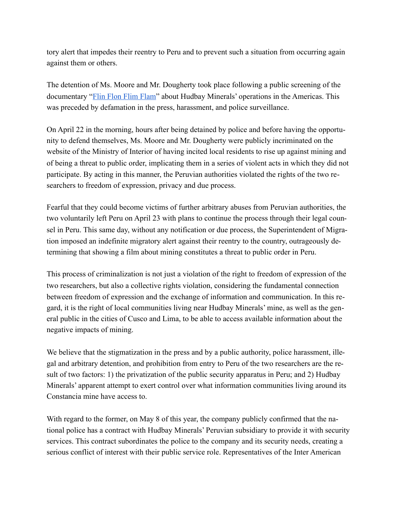tory alert that impedes their reentry to Peru and to prevent such a situation from occurring again against them or others.

The detention of Ms. Moore and Mr. Dougherty took place following a public screening of the documentary "[Flin Flon Flim Flam"](https://www.youtube.com/watch?v=j7aacPtEI8s) about Hudbay Minerals' operations in the Americas. This was preceded by defamation in the press, harassment, and police surveillance.

On April 22 in the morning, hours after being detained by police and before having the opportunity to defend themselves, Ms. Moore and Mr. Dougherty were publicly incriminated on the website of the Ministry of Interior of having incited local residents to rise up against mining and of being a threat to public order, implicating them in a series of violent acts in which they did not participate. By acting in this manner, the Peruvian authorities violated the rights of the two researchers to freedom of expression, privacy and due process.

Fearful that they could become victims of further arbitrary abuses from Peruvian authorities, the two voluntarily left Peru on April 23 with plans to continue the process through their legal counsel in Peru. This same day, without any notification or due process, the Superintendent of Migration imposed an indefinite migratory alert against their reentry to the country, outrageously determining that showing a film about mining constitutes a threat to public order in Peru.

This process of criminalization is not just a violation of the right to freedom of expression of the two researchers, but also a collective rights violation, considering the fundamental connection between freedom of expression and the exchange of information and communication. In this regard, it is the right of local communities living near Hudbay Minerals' mine, as well as the general public in the cities of Cusco and Lima, to be able to access available information about the negative impacts of mining.

We believe that the stigmatization in the press and by a public authority, police harassment, illegal and arbitrary detention, and prohibition from entry to Peru of the two researchers are the result of two factors: 1) the privatization of the public security apparatus in Peru; and 2) Hudbay Minerals' apparent attempt to exert control over what information communities living around its Constancia mine have access to.

With regard to the former, on May 8 of this year, the company publicly confirmed that the national police has a contract with Hudbay Minerals' Peruvian subsidiary to provide it with security services. This contract subordinates the police to the company and its security needs, creating a serious conflict of interest with their public service role. Representatives of the Inter American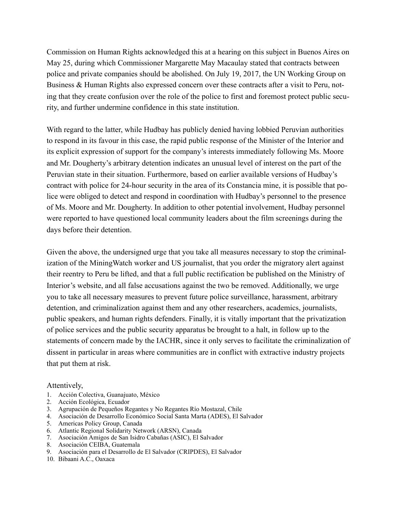Commission on Human Rights acknowledged this at a hearing on this subject in Buenos Aires on May 25, during which Commissioner Margarette May Macaulay stated that contracts between police and private companies should be abolished. On July 19, 2017, the UN Working Group on Business & Human Rights also expressed concern over these contracts after a visit to Peru, noting that they create confusion over the role of the police to first and foremost protect public security, and further undermine confidence in this state institution.

With regard to the latter, while Hudbay has publicly denied having lobbied Peruvian authorities to respond in its favour in this case, the rapid public response of the Minister of the Interior and its explicit expression of support for the company's interests immediately following Ms. Moore and Mr. Dougherty's arbitrary detention indicates an unusual level of interest on the part of the Peruvian state in their situation. Furthermore, based on earlier available versions of Hudbay's contract with police for 24-hour security in the area of its Constancia mine, it is possible that police were obliged to detect and respond in coordination with Hudbay's personnel to the presence of Ms. Moore and Mr. Dougherty. In addition to other potential involvement, Hudbay personnel were reported to have questioned local community leaders about the film screenings during the days before their detention.

Given the above, the undersigned urge that you take all measures necessary to stop the criminalization of the MiningWatch worker and US journalist, that you order the migratory alert against their reentry to Peru be lifted, and that a full public rectification be published on the Ministry of Interior's website, and all false accusations against the two be removed. Additionally, we urge you to take all necessary measures to prevent future police surveillance, harassment, arbitrary detention, and criminalization against them and any other researchers, academics, journalists, public speakers, and human rights defenders. Finally, it is vitally important that the privatization of police services and the public security apparatus be brought to a halt, in follow up to the statements of concern made by the IACHR, since it only serves to facilitate the criminalization of dissent in particular in areas where communities are in conflict with extractive industry projects that put them at risk.

## Attentively,

- 1. Acción Colectiva, Guanajuato, México
- 2. Acción Ecológica, Ecuador
- 3. Agrupación de Pequeños Regantes y No Regantes Río Mostazal, Chile
- 4. Asociación de Desarrollo Económico Social Santa Marta (ADES), El Salvador
- 5. Americas Policy Group, Canada
- 6. Atlantic Regional Solidarity Network (ARSN), Canada
- 7. Asociación Amigos de San Isidro Cabañas (ASIC), El Salvador
- 8. Asociación CEIBA, Guatemala
- 9. Asociación para el Desarrollo de El Salvador (CRIPDES), El Salvador
- 10. Bibaani A.C., Oaxaca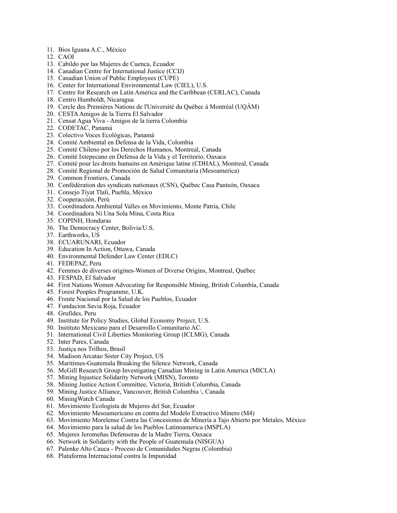- 11. Bios Iguana A.C., México
- 12. CAOI
- 13. Cabildo por las Mujeres de Cuenca, Ecuador
- 14. Canadian Centre for International Justice (CCIJ)
- 15. Canadian Union of Public Employees (CUPE)
- 16. Center for International Environmental Law (CIEL), U.S.
- 17. Centre for Research on Latin America and the Caribbean (CERLAC), Canada
- 18. Centro Humboldt, Nicaragua
- 19. Cercle des Premières Nations de l'Université du Québec à Montréal (UQÀM)
- 20. CESTA Amigos de la Tierra El Salvador
- 21. Censat Agua Viva Amigos de la tierra Colombia
- 22. CODETAC, Panamá
- 23. Colectivo Voces Ecológicas, Panamá
- 24. Comité Ambiental en Defensa de la Vida, Colombia
- 25. Comité Chileno por los Derechos Humanos, Montreal, Canada
- 26. Comité Ixtepecano en Defensa de la Vida y el Territorio, Oaxaca
- 27. Comité pour les droits humains en Amérique latine (CDHAL), Montreal, Canada
- 28. Comité Regional de Promoción de Salud Comunitaria (Mesoamerica)
- 29. Common Frontiers, Canada
- 30. Confédération des syndicats nationaux (CSN), Québec Casa Panteón, Oaxaca
- 31. Consejo Tiyat Tlali, Puebla, México
- 32. Cooperacción, Perú
- 33. Coordinadora Ambiental Valles en Movimiento, Monte Patria, Chile
- 34. Coordinadora Ni Una Sola Mina, Costa Rica
- 35. COPINH, Honduras
- 36. The Democracy Center, Bolivia/U.S.
- 37. Earthworks, US
- 38. ECUARUNARI, Ecuador
- 39. Education In Action, Ottawa, Canada
- 40. Environmental Defender Law Center (EDLC)
- 41. FEDEPAZ, Peru
- 42. Femmes de diverses origines-Women of Diverse Origins, Montreal, Québec
- 43. FESPAD, El Salvador
- 44. First Nations Women Advocating for Responsible Mining, British Columbia, Canada
- 45. Forest Peoples Programme, U.K.
- 46. Frente Nacional por la Salud de los Pueblos, Ecuador
- 47. Fundacion Savia Roja, Ecuador
- 48. Grufides, Peru
- 49. Institute for Policy Studies, Global Economy Project, U.S.
- 50. Instituto Mexicano para el Desarrollo Comunitario AC.
- 51. International Civil Liberties Monitoring Group (ICLMG), Canada
- 52. Inter Pares, Canada
- 53. Justiça nos Trilhos, Brasil
- 54. Madison Arcatao Sister City Project, US
- 55. Maritimes-Guatemala Breaking the Silence Network, Canada
- 56. McGill Research Group Investigating Canadian Mining in Latin America (MICLA)
- 57. Mining Injustice Solidarity Network (MISN), Toronto
- 58. Mining Justice Action Committee, Victoria, British Columbia, Canada
- 59. Mining Justice Alliance, Vancouver, British Columbia \, Canada
- 60. MiningWatch Canada
- 61. Movimiento Ecologista de Mujeres del Sur, Ecuador
- 62. Movimiento Mesoamericano en contra del Modelo Extractivo Minero (M4)
- 63. Movimiento Morelense Contra las Concesiones de Minería a Tajo Abierto por Metales, México
- 64. Movimiento para la salud de los Pueblos Latinoamerica (MSPLA)
- 65. Mujeres Jeromeñas Defensoras de la Madre Tierra, Oaxaca
- 66. Network in Solidarity with the People of Guatemala (NISGUA)
- 67. Palenke Alto Cauca Proceso de Comunidades Negras (Colombia)
- 68. Plataforma Internacional contra la Impunidad